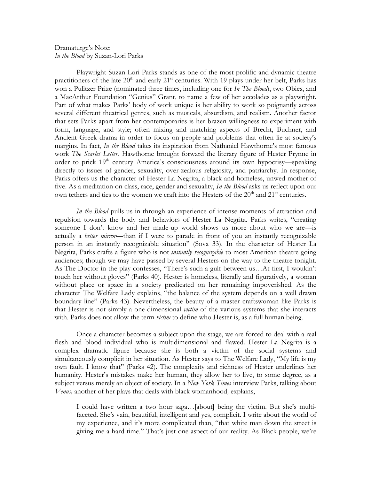## Dramaturge's Note: *In the Blood* by Suzan-Lori Parks

Playwright Suzan-Lori Parks stands as one of the most prolific and dynamic theatre practitioners of the late  $20<sup>th</sup>$  and early  $21<sup>st</sup>$  centuries. With 19 plays under her belt, Parks has won a Pulitzer Prize (nominated three times, including one for *In The Blood*), two Obies, and a MacArthur Foundation "Genius" Grant, to name a few of her accolades as a playwright. Part of what makes Parks' body of work unique is her ability to work so poignantly across several different theatrical genres, such as musicals, absurdism, and realism. Another factor that sets Parks apart from her contemporaries is her brazen willingness to experiment with form, language, and style; often mixing and matching aspects of Brecht, Buchner, and Ancient Greek drama in order to focus on people and problems that often lie at society's margins. In fact, *In the Blood* takes its inspiration from Nathaniel Hawthorne's most famous work *The Scarlet Letter.* Hawthorne brought forward the literary figure of Hester Prynne in order to prick  $19<sup>th</sup>$  century America's consciousness around its own hypocrisy—speaking directly to issues of gender, sexuality, over-zealous religiosity, and patriarchy. In response, Parks offers us the character of Hester La Negrita, a black and homeless, unwed mother of five. As a meditation on class, race, gender and sexuality, *In the Blood* asks us reflect upon our own tethers and ties to the women we craft into the Hesters of the 20<sup>th</sup> and 21<sup>st</sup> centuries.

*In the Blood* pulls us in through an experience of intense moments of attraction and repulsion towards the body and behaviors of Hester La Negrita. Parks writes, "creating someone I don't know and her made-up world shows us more about who we are—is actually a *better mirror*—than if I were to parade in front of you an instantly recognizable person in an instantly recognizable situation" (Sova 33). In the character of Hester La Negrita, Parks crafts a figure who is not *instantly recognizable* to most American theatre going audiences; though we may have passed by several Hesters on the way to the theatre tonight. As The Doctor in the play confesses, "There's such a gulf between us…At first, I wouldn't touch her without gloves" (Parks 40). Hester is homeless, literally and figuratively, a woman without place or space in a society predicated on her remaining impoverished. As the character The Welfare Lady explains, "the balance of the system depends on a well drawn boundary line" (Parks 43). Nevertheless, the beauty of a master craftswoman like Parks is that Hester is not simply a one-dimensional *victim* of the various systems that she interacts with. Parks does not allow the term *victim* to define who Hester is, as a full human being.

Once a character becomes a subject upon the stage, we are forced to deal with a real flesh and blood individual who is multidimensional and flawed. Hester La Negrita is a complex dramatic figure because she is both a victim of the social systems and simultaneously complicit in her situation. As Hester says to The Welfare Lady, "My life is my own fault. I know that" (Parks 42). The complexity and richness of Hester underlines her humanity. Hester's mistakes make her human, they allow her to live, to some degree, as a subject versus merely an object of society. In a *New York Times* interview Parks, talking about *Venus,* another of her plays that deals with black womanhood*,* explains,

I could have written a two hour saga…[about] being the victim. But she's multifaceted. She's vain, beautiful, intelligent and yes, complicit. I write about the world of my experience, and it's more complicated than, "that white man down the street is giving me a hard time." That's just one aspect of our reality. As Black people, we're